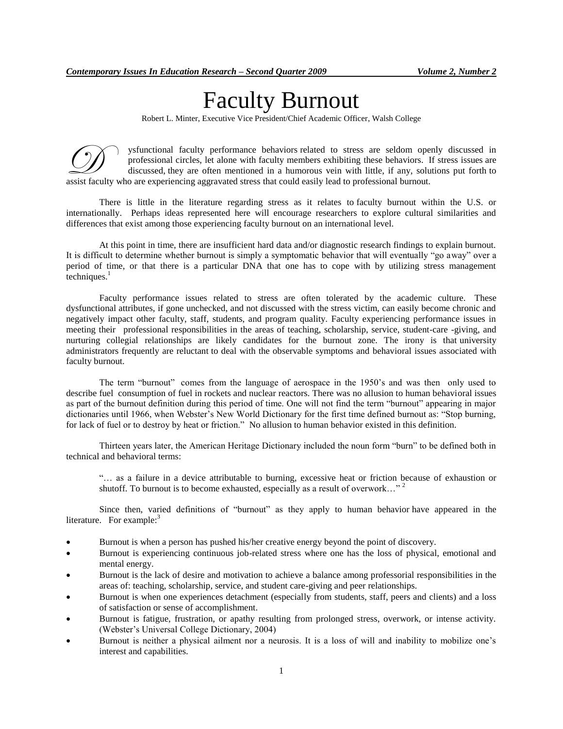# Faculty Burnout

Robert L. Minter, Executive Vice President/Chief Academic Officer, Walsh College

ysfunctional faculty performance behaviors related to stress are seldom openly discussed in professional circles, let alone with faculty members exhibiting these behaviors. If stress issues are discussed, they are often mentioned in a humorous vein with little, if any, solutions put forth to **assist faculty** who are experiencing aggravated stress that could easily lead to stress are seldom oper professional circles, let alone with faculty members exhibiting these behaviors. I discussed, they are often mentione

There is little in the literature regarding stress as it relates to faculty burnout within the U.S. or internationally. Perhaps ideas represented here will encourage researchers to explore cultural similarities and differences that exist among those experiencing faculty burnout on an international level.

At this point in time, there are insufficient hard data and/or diagnostic research findings to explain burnout. It is difficult to determine whether burnout is simply a symptomatic behavior that will eventually "go away" over a period of time, or that there is a particular DNA that one has to cope with by utilizing stress management techniques. $<sup>1</sup>$ </sup>

Faculty performance issues related to stress are often tolerated by the academic culture. These dysfunctional attributes, if gone unchecked, and not discussed with the stress victim, can easily become chronic and negatively impact other faculty, staff, students, and program quality. Faculty experiencing performance issues in meeting their professional responsibilities in the areas of teaching, scholarship, service, student-care -giving, and nurturing collegial relationships are likely candidates for the burnout zone. The irony is that university administrators frequently are reluctant to deal with the observable symptoms and behavioral issues associated with faculty burnout.

The term "burnout" comes from the language of aerospace in the 1950's and was then only used to describe fuel consumption of fuel in rockets and nuclear reactors. There was no allusion to human behavioral issues as part of the burnout definition during this period of time. One will not find the term "burnout" appearing in major dictionaries until 1966, when Webster's New World Dictionary for the first time defined burnout as: "Stop burning, for lack of fuel or to destroy by heat or friction." No allusion to human behavior existed in this definition.

Thirteen years later, the American Heritage Dictionary included the noun form "burn" to be defined both in technical and behavioral terms:

"… as a failure in a device attributable to burning, excessive heat or friction because of exhaustion or shutoff. To burnout is to become exhausted, especially as a result of overwork..."  $2^2$ 

Since then, varied definitions of "burnout" as they apply to human behavior have appeared in the literature. For example: $3$ 

- Burnout is when a person has pushed his/her creative energy beyond the point of discovery.
- Burnout is experiencing continuous job-related stress where one has the loss of physical, emotional and mental energy.
- Burnout is the lack of desire and motivation to achieve a balance among professorial responsibilities in the areas of: teaching, scholarship, service, and student care-giving and peer relationships.
- Burnout is when one experiences detachment (especially from students, staff, peers and clients) and a loss of satisfaction or sense of accomplishment.
- Burnout is fatigue, frustration, or apathy resulting from prolonged stress, overwork, or intense activity. (Webster's Universal College Dictionary, 2004)
- Burnout is neither a physical ailment nor a neurosis. It is a loss of will and inability to mobilize one's interest and capabilities.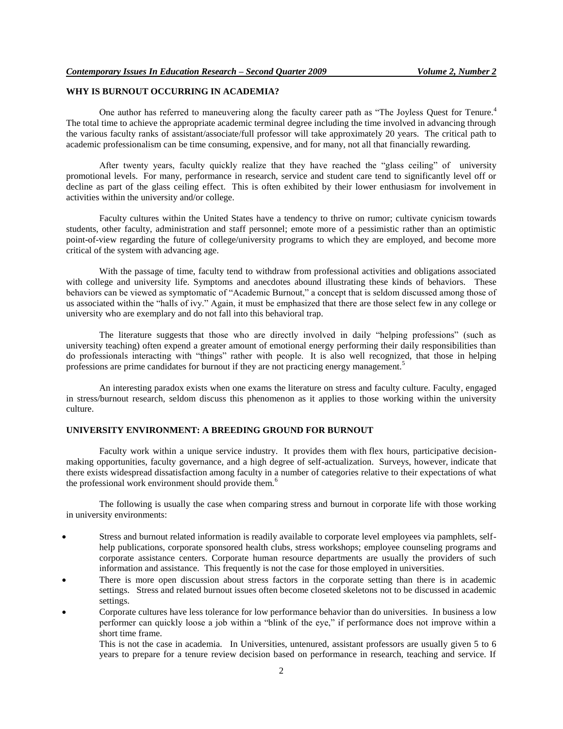# **WHY IS BURNOUT OCCURRING IN ACADEMIA?**

One author has referred to maneuvering along the faculty career path as "The Joyless Quest for Tenure.<sup>4</sup> The total time to achieve the appropriate academic terminal degree including the time involved in advancing through the various faculty ranks of assistant/associate/full professor will take approximately 20 years. The critical path to academic professionalism can be time consuming, expensive, and for many, not all that financially rewarding.

After twenty years, faculty quickly realize that they have reached the "glass ceiling" of university promotional levels. For many, performance in research, service and student care tend to significantly level off or decline as part of the glass ceiling effect. This is often exhibited by their lower enthusiasm for involvement in activities within the university and/or college.

Faculty cultures within the United States have a tendency to thrive on rumor; cultivate cynicism towards students, other faculty, administration and staff personnel; emote more of a pessimistic rather than an optimistic point-of-view regarding the future of college/university programs to which they are employed, and become more critical of the system with advancing age.

With the passage of time, faculty tend to withdraw from professional activities and obligations associated with college and university life. Symptoms and anecdotes abound illustrating these kinds of behaviors. These behaviors can be viewed as symptomatic of "Academic Burnout," a concept that is seldom discussed among those of us associated within the "halls of ivy." Again, it must be emphasized that there are those select few in any college or university who are exemplary and do not fall into this behavioral trap.

The literature suggests that those who are directly involved in daily "helping professions" (such as university teaching) often expend a greater amount of emotional energy performing their daily responsibilities than do professionals interacting with "things" rather with people. It is also well recognized, that those in helping professions are prime candidates for burnout if they are not practicing energy management.<sup>5</sup>

An interesting paradox exists when one exams the literature on stress and faculty culture. Faculty, engaged in stress/burnout research, seldom discuss this phenomenon as it applies to those working within the university culture.

### **UNIVERSITY ENVIRONMENT: A BREEDING GROUND FOR BURNOUT**

Faculty work within a unique service industry. It provides them with flex hours, participative decisionmaking opportunities, faculty governance, and a high degree of self-actualization. Surveys, however, indicate that there exists widespread dissatisfaction among faculty in a number of categories relative to their expectations of what the professional work environment should provide them.<sup>6</sup>

The following is usually the case when comparing stress and burnout in corporate life with those working in university environments:

- Stress and burnout related information is readily available to corporate level employees via pamphlets, selfhelp publications, corporate sponsored health clubs, stress workshops; employee counseling programs and corporate assistance centers. Corporate human resource departments are usually the providers of such information and assistance. This frequently is not the case for those employed in universities.
- There is more open discussion about stress factors in the corporate setting than there is in academic settings. Stress and related burnout issues often become closeted skeletons not to be discussed in academic settings.
- Corporate cultures have less tolerance for low performance behavior than do universities. In business a low performer can quickly loose a job within a "blink of the eye," if performance does not improve within a short time frame.

This is not the case in academia. In Universities, untenured, assistant professors are usually given 5 to 6 years to prepare for a tenure review decision based on performance in research, teaching and service. If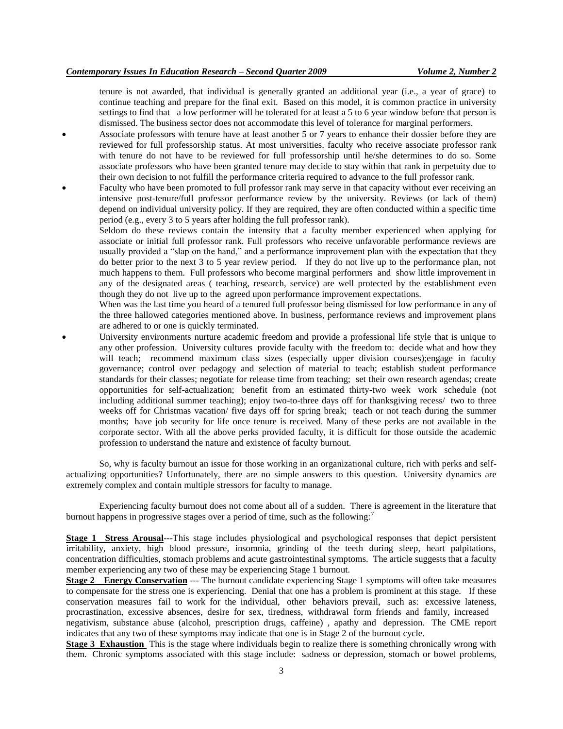tenure is not awarded, that individual is generally granted an additional year (i.e., a year of grace) to continue teaching and prepare for the final exit. Based on this model, it is common practice in university settings to find that a low performer will be tolerated for at least a 5 to 6 year window before that person is dismissed. The business sector does not accommodate this level of tolerance for marginal performers.

- Associate professors with tenure have at least another 5 or 7 years to enhance their dossier before they are reviewed for full professorship status. At most universities, faculty who receive associate professor rank with tenure do not have to be reviewed for full professorship until he/she determines to do so. Some associate professors who have been granted tenure may decide to stay within that rank in perpetuity due to their own decision to not fulfill the performance criteria required to advance to the full professor rank.
- Faculty who have been promoted to full professor rank may serve in that capacity without ever receiving an intensive post-tenure/full professor performance review by the university. Reviews (or lack of them) depend on individual university policy. If they are required, they are often conducted within a specific time period (e.g., every 3 to 5 years after holding the full professor rank).
	- Seldom do these reviews contain the intensity that a faculty member experienced when applying for associate or initial full professor rank. Full professors who receive unfavorable performance reviews are usually provided a "slap on the hand," and a performance improvement plan with the expectation that they do better prior to the next 3 to 5 year review period. If they do not live up to the performance plan, not much happens to them. Full professors who become marginal performers and show little improvement in any of the designated areas ( teaching, research, service) are well protected by the establishment even though they do not live up to the agreed upon performance improvement expectations.
	- When was the last time you heard of a tenured full professor being dismissed for low performance in any of the three hallowed categories mentioned above. In business, performance reviews and improvement plans are adhered to or one is quickly terminated.
- University environments nurture academic freedom and provide a professional life style that is unique to any other profession. University cultures provide faculty with the freedom to: decide what and how they will teach; recommend maximum class sizes (especially upper division courses); engage in faculty governance; control over pedagogy and selection of material to teach; establish student performance standards for their classes; negotiate for release time from teaching; set their own research agendas; create opportunities for self-actualization; benefit from an estimated thirty-two week work schedule (not including additional summer teaching); enjoy two-to-three days off for thanksgiving recess/ two to three weeks off for Christmas vacation/ five days off for spring break; teach or not teach during the summer months; have job security for life once tenure is received. Many of these perks are not available in the corporate sector. With all the above perks provided faculty, it is difficult for those outside the academic profession to understand the nature and existence of faculty burnout.

So, why is faculty burnout an issue for those working in an organizational culture, rich with perks and selfactualizing opportunities? Unfortunately, there are no simple answers to this question. University dynamics are extremely complex and contain multiple stressors for faculty to manage.

Experiencing faculty burnout does not come about all of a sudden. There is agreement in the literature that burnout happens in progressive stages over a period of time, such as the following:<sup>7</sup>

**Stage 1 Stress Arousal**---This stage includes physiological and psychological responses that depict persistent irritability, anxiety, high blood pressure, insomnia, grinding of the teeth during sleep, heart palpitations, concentration difficulties, stomach problems and acute gastrointestinal symptoms. The article suggests that a faculty member experiencing any two of these may be experiencing Stage 1 burnout.

**Stage 2** Energy Conservation --- The burnout candidate experiencing Stage 1 symptoms will often take measures to compensate for the stress one is experiencing. Denial that one has a problem is prominent at this stage. If these conservation measures fail to work for the individual, other behaviors prevail, such as: excessive lateness, procrastination, excessive absences, desire for sex, tiredness, withdrawal form friends and family, increased negativism, substance abuse (alcohol, prescription drugs, caffeine) , apathy and depression. The CME report indicates that any two of these symptoms may indicate that one is in Stage 2 of the burnout cycle.

**Stage 3 Exhaustion** This is the stage where individuals begin to realize there is something chronically wrong with them. Chronic symptoms associated with this stage include: sadness or depression, stomach or bowel problems,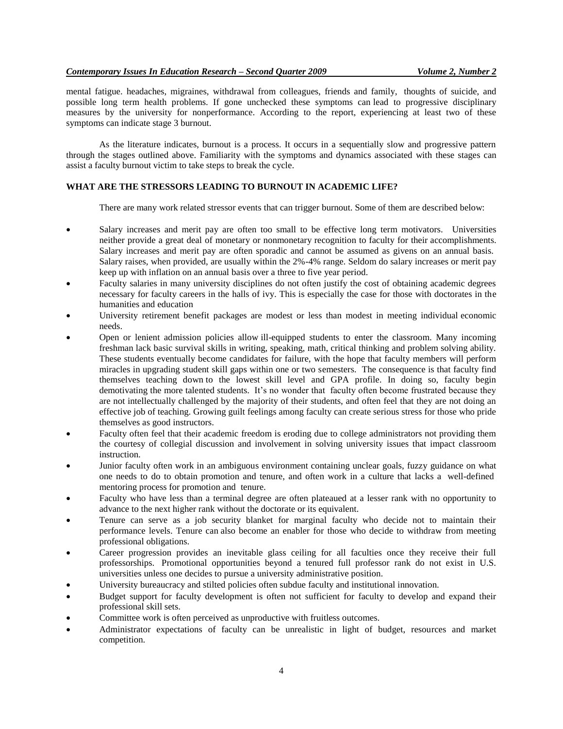mental fatigue. headaches, migraines, withdrawal from colleagues, friends and family, thoughts of suicide, and possible long term health problems. If gone unchecked these symptoms can lead to progressive disciplinary measures by the university for nonperformance. According to the report, experiencing at least two of these symptoms can indicate stage 3 burnout.

As the literature indicates, burnout is a process. It occurs in a sequentially slow and progressive pattern through the stages outlined above. Familiarity with the symptoms and dynamics associated with these stages can assist a faculty burnout victim to take steps to break the cycle.

#### **WHAT ARE THE STRESSORS LEADING TO BURNOUT IN ACADEMIC LIFE?**

There are many work related stressor events that can trigger burnout. Some of them are described below:

- Salary increases and merit pay are often too small to be effective long term motivators. Universities neither provide a great deal of monetary or nonmonetary recognition to faculty for their accomplishments. Salary increases and merit pay are often sporadic and cannot be assumed as givens on an annual basis. Salary raises, when provided, are usually within the 2%-4% range. Seldom do salary increases or merit pay keep up with inflation on an annual basis over a three to five year period.
- Faculty salaries in many university disciplines do not often justify the cost of obtaining academic degrees necessary for faculty careers in the halls of ivy. This is especially the case for those with doctorates in the humanities and education
- University retirement benefit packages are modest or less than modest in meeting individual economic needs.
- Open or lenient admission policies allow ill-equipped students to enter the classroom. Many incoming freshman lack basic survival skills in writing, speaking, math, critical thinking and problem solving ability. These students eventually become candidates for failure, with the hope that faculty members will perform miracles in upgrading student skill gaps within one or two semesters. The consequence is that faculty find themselves teaching down to the lowest skill level and GPA profile. In doing so, faculty begin demotivating the more talented students. It's no wonder that faculty often become frustrated because they are not intellectually challenged by the majority of their students, and often feel that they are not doing an effective job of teaching. Growing guilt feelings among faculty can create serious stress for those who pride themselves as good instructors.
- Faculty often feel that their academic freedom is eroding due to college administrators not providing them the courtesy of collegial discussion and involvement in solving university issues that impact classroom instruction.
- Junior faculty often work in an ambiguous environment containing unclear goals, fuzzy guidance on what one needs to do to obtain promotion and tenure, and often work in a culture that lacks a well-defined mentoring process for promotion and tenure.
- Faculty who have less than a terminal degree are often plateaued at a lesser rank with no opportunity to advance to the next higher rank without the doctorate or its equivalent.
- Tenure can serve as a job security blanket for marginal faculty who decide not to maintain their performance levels. Tenure can also become an enabler for those who decide to withdraw from meeting professional obligations.
- Career progression provides an inevitable glass ceiling for all faculties once they receive their full professorships. Promotional opportunities beyond a tenured full professor rank do not exist in U.S. universities unless one decides to pursue a university administrative position.
- University bureaucracy and stilted policies often subdue faculty and institutional innovation.
- Budget support for faculty development is often not sufficient for faculty to develop and expand their professional skill sets.
- Committee work is often perceived as unproductive with fruitless outcomes.
- Administrator expectations of faculty can be unrealistic in light of budget, resources and market competition.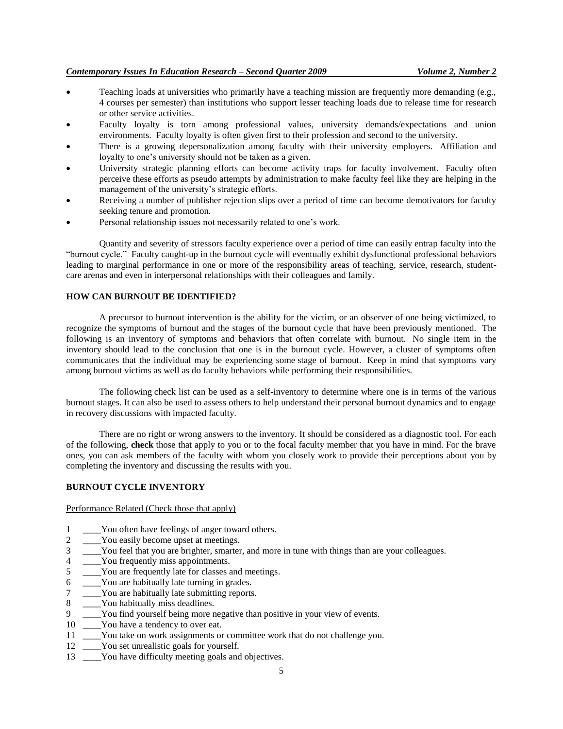#### *Contemporary Issues In Education Research – Second Quarter 2009 Volume 2, Number 2*

- Teaching loads at universities who primarily have a teaching mission are frequently more demanding (e.g., 4 courses per semester) than institutions who support lesser teaching loads due to release time for research or other service activities.
- Faculty loyalty is torn among professional values, university demands/expectations and union environments. Faculty loyalty is often given first to their profession and second to the university.
- There is a growing depersonalization among faculty with their university employers. Affiliation and loyalty to one's university should not be taken as a given.
- University strategic planning efforts can become activity traps for faculty involvement. Faculty often perceive these efforts as pseudo attempts by administration to make faculty feel like they are helping in the management of the university's strategic efforts.
- Receiving a number of publisher rejection slips over a period of time can become demotivators for faculty seeking tenure and promotion.
- Personal relationship issues not necessarily related to one's work.

Quantity and severity of stressors faculty experience over a period of time can easily entrap faculty into the "burnout cycle." Faculty caught-up in the burnout cycle will eventually exhibit dysfunctional professional behaviors leading to marginal performance in one or more of the responsibility areas of teaching, service, research, studentcare arenas and even in interpersonal relationships with their colleagues and family.

#### **HOW CAN BURNOUT BE IDENTIFIED?**

A precursor to burnout intervention is the ability for the victim, or an observer of one being victimized, to recognize the symptoms of burnout and the stages of the burnout cycle that have been previously mentioned. The following is an inventory of symptoms and behaviors that often correlate with burnout. No single item in the inventory should lead to the conclusion that one is in the burnout cycle. However, a cluster of symptoms often communicates that the individual may be experiencing some stage of burnout. Keep in mind that symptoms vary among burnout victims as well as do faculty behaviors while performing their responsibilities.

The following check list can be used as a self-inventory to determine where one is in terms of the various burnout stages. It can also be used to assess others to help understand their personal burnout dynamics and to engage in recovery discussions with impacted faculty.

There are no right or wrong answers to the inventory. It should be considered as a diagnostic tool. For each of the following, **check** those that apply to you or to the focal faculty member that you have in mind. For the brave ones, you can ask members of the faculty with whom you closely work to provide their perceptions about you by completing the inventory and discussing the results with you.

#### **BURNOUT CYCLE INVENTORY**

#### Performance Related (Check those that apply)

- 1 \_\_\_\_You often have feelings of anger toward others.
- 2 \_\_\_\_You easily become upset at meetings.
- 3 \_\_\_\_You feel that you are brighter, smarter, and more in tune with things than are your colleagues.
- 4 \_\_\_\_You frequently miss appointments.
- 5 \_\_\_\_You are frequently late for classes and meetings.
- 6 \_\_\_\_You are habitually late turning in grades.
- 7 \_\_\_\_You are habitually late submitting reports.
- 8 \_\_\_\_You habitually miss deadlines.
- 9 \_\_\_\_You find yourself being more negative than positive in your view of events.
- 10 You have a tendency to over eat.
- 11 \_\_\_\_You take on work assignments or committee work that do not challenge you.
- 12 You set unrealistic goals for yourself.
- 13 You have difficulty meeting goals and objectives.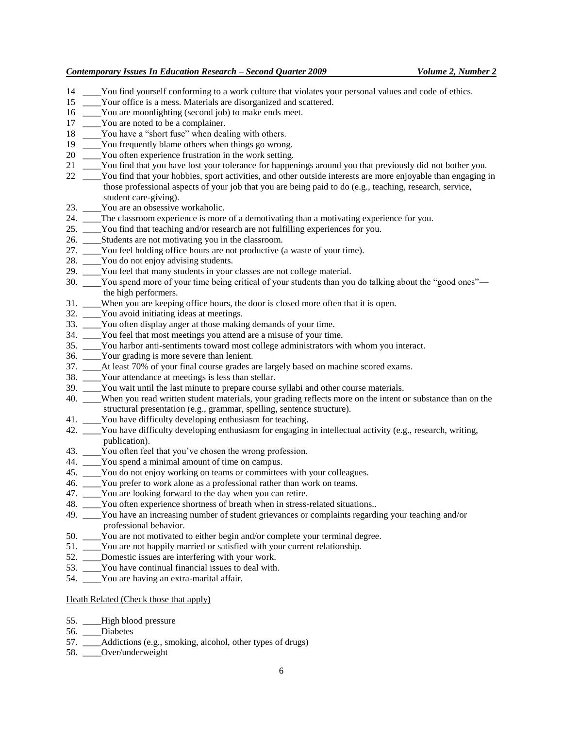- 14 \_\_\_\_You find yourself conforming to a work culture that violates your personal values and code of ethics.
- 15 \_\_\_\_Your office is a mess. Materials are disorganized and scattered.
- 16 \_\_\_\_You are moonlighting (second job) to make ends meet.
- 17 \_\_\_\_\_You are noted to be a complainer.
- 18 You have a "short fuse" when dealing with others.
- 19 \_\_\_\_You frequently blame others when things go wrong.
- 20 You often experience frustration in the work setting.
- 21 \_\_\_\_You find that you have lost your tolerance for happenings around you that previously did not bother you.
- 22 \_\_\_\_You find that your hobbies, sport activities, and other outside interests are more enjoyable than engaging in those professional aspects of your job that you are being paid to do (e.g., teaching, research, service, student care-giving).
- 23. \_\_\_\_You are an obsessive workaholic.
- 24. \_\_\_\_The classroom experience is more of a demotivating than a motivating experience for you.
- 25. \_\_\_\_You find that teaching and/or research are not fulfilling experiences for you.
- 26. \_\_\_\_Students are not motivating you in the classroom.
- 27. \_\_\_\_You feel holding office hours are not productive (a waste of your time).
- 28. \_\_\_\_You do not enjoy advising students.
- 29. \_\_\_\_You feel that many students in your classes are not college material.
- 30. \_\_\_\_You spend more of your time being critical of your students than you do talking about the "good ones" the high performers.
- 31. \_\_\_\_When you are keeping office hours, the door is closed more often that it is open.
- 32. \_\_\_\_You avoid initiating ideas at meetings.
- 33. \_\_\_\_You often display anger at those making demands of your time.
- 34. \_\_\_\_You feel that most meetings you attend are a misuse of your time.
- 35. \_\_\_\_You harbor anti-sentiments toward most college administrators with whom you interact.
- 36. \_\_\_\_Your grading is more severe than lenient.
- 37. \_\_\_\_At least 70% of your final course grades are largely based on machine scored exams.
- 38. \_\_\_\_Your attendance at meetings is less than stellar.
- 39. \_\_\_\_You wait until the last minute to prepare course syllabi and other course materials.
- 40. \_\_\_\_When you read written student materials, your grading reflects more on the intent or substance than on the structural presentation (e.g., grammar, spelling, sentence structure).
- 41. \_\_\_\_You have difficulty developing enthusiasm for teaching.
- 42. \_\_\_\_You have difficulty developing enthusiasm for engaging in intellectual activity (e.g., research, writing, publication).
- 43. You often feel that you've chosen the wrong profession.
- 44. \_\_\_\_You spend a minimal amount of time on campus.
- 45. \_\_\_\_You do not enjoy working on teams or committees with your colleagues.
- 46. \_\_\_\_You prefer to work alone as a professional rather than work on teams.
- 47. \_\_\_\_\_You are looking forward to the day when you can retire.
- 48. \_\_\_\_You often experience shortness of breath when in stress-related situations..
- 49. \_\_\_\_You have an increasing number of student grievances or complaints regarding your teaching and/or professional behavior.
- 50. \_\_\_\_You are not motivated to either begin and/or complete your terminal degree.
- 51. \_\_\_\_You are not happily married or satisfied with your current relationship.
- 52. \_\_\_\_Domestic issues are interfering with your work.
- 53. \_\_\_\_You have continual financial issues to deal with.
- 54. You are having an extra-marital affair.

#### Heath Related (Check those that apply)

- 55. \_\_\_\_High blood pressure
- 56. \_\_\_\_Diabetes
- 57. \_\_\_\_Addictions (e.g., smoking, alcohol, other types of drugs)
- 58. \_\_\_\_Over/underweight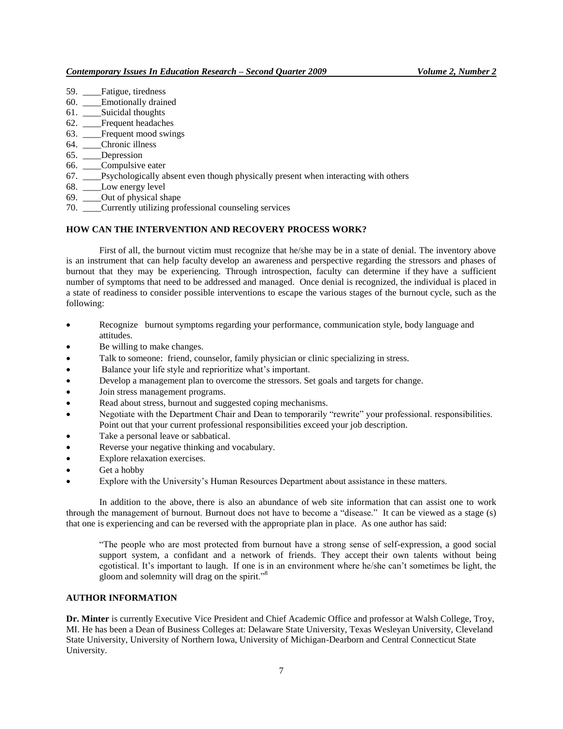- 59. \_\_\_\_Fatigue, tiredness
- 60. \_\_\_\_Emotionally drained
- 61. \_\_\_\_Suicidal thoughts
- 62. \_\_\_\_Frequent headaches
- 63. Frequent mood swings
- 64. \_\_\_\_Chronic illness
- 65. \_\_\_\_Depression
- 66. \_\_\_\_Compulsive eater
- 67. \_\_\_\_Psychologically absent even though physically present when interacting with others
- 68. \_\_\_\_Low energy level
- 69. \_\_\_\_Out of physical shape
- 70. \_\_\_\_Currently utilizing professional counseling services

#### **HOW CAN THE INTERVENTION AND RECOVERY PROCESS WORK?**

First of all, the burnout victim must recognize that he/she may be in a state of denial. The inventory above is an instrument that can help faculty develop an awareness and perspective regarding the stressors and phases of burnout that they may be experiencing. Through introspection, faculty can determine if they have a sufficient number of symptoms that need to be addressed and managed. Once denial is recognized, the individual is placed in a state of readiness to consider possible interventions to escape the various stages of the burnout cycle, such as the following:

- Recognize burnout symptoms regarding your performance, communication style, body language and attitudes.
- Be willing to make changes.
- Talk to someone: friend, counselor, family physician or clinic specializing in stress.
- Balance your life style and reprioritize what's important.
- Develop a management plan to overcome the stressors. Set goals and targets for change.
- Join stress management programs.
- Read about stress, burnout and suggested coping mechanisms.
- Negotiate with the Department Chair and Dean to temporarily "rewrite" your professional. responsibilities. Point out that your current professional responsibilities exceed your job description.
- Take a personal leave or sabbatical.
- Reverse your negative thinking and vocabulary.
- Explore relaxation exercises.
- Get a hobby
- Explore with the University's Human Resources Department about assistance in these matters.

In addition to the above, there is also an abundance of web site information that can assist one to work through the management of burnout. Burnout does not have to become a "disease." It can be viewed as a stage (s) that one is experiencing and can be reversed with the appropriate plan in place. As one author has said:

"The people who are most protected from burnout have a strong sense of self-expression, a good social support system, a confidant and a network of friends. They accept their own talents without being egotistical. It's important to laugh. If one is in an environment where he/she can't sometimes be light, the gloom and solemnity will drag on the spirit."<sup>8</sup>

## **AUTHOR INFORMATION**

**Dr. Minter** is currently Executive Vice President and Chief Academic Office and professor at Walsh College, Troy, MI. He has been a Dean of Business Colleges at: Delaware State University, Texas Wesleyan University, Cleveland State University, University of Northern Iowa, University of Michigan-Dearborn and Central Connecticut State University.